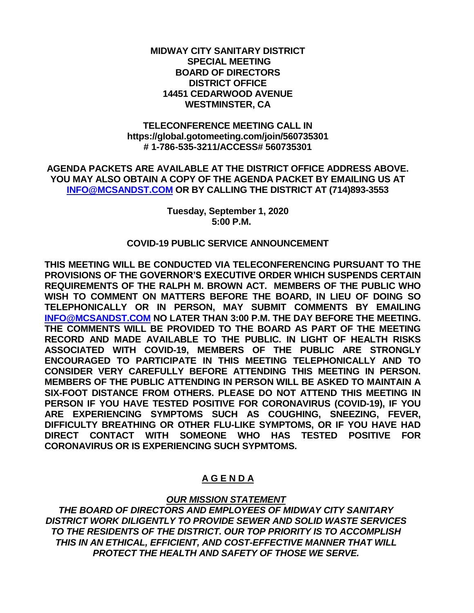### **MIDWAY CITY SANITARY DISTRICT SPECIAL MEETING BOARD OF DIRECTORS DISTRICT OFFICE 14451 CEDARWOOD AVENUE WESTMINSTER, CA**

### **TELECONFERENCE MEETING CALL IN https://global.gotomeeting.com/join/560735301 # 1-786-535-3211/ACCESS# 560735301**

**AGENDA PACKETS ARE AVAILABLE AT THE DISTRICT OFFICE ADDRESS ABOVE. YOU MAY ALSO OBTAIN A COPY OF THE AGENDA PACKET BY EMAILING US AT [INFO@MCSANDST.COM](mailto:INFO@MCSANDST.COM) OR BY CALLING THE DISTRICT AT (714)893-3553**

#### **Tuesday, September 1, 2020 5:00 P.M.**

### **COVID-19 PUBLIC SERVICE ANNOUNCEMENT**

**THIS MEETING WILL BE CONDUCTED VIA TELECONFERENCING PURSUANT TO THE PROVISIONS OF THE GOVERNOR'S EXECUTIVE ORDER WHICH SUSPENDS CERTAIN REQUIREMENTS OF THE RALPH M. BROWN ACT. MEMBERS OF THE PUBLIC WHO WISH TO COMMENT ON MATTERS BEFORE THE BOARD, IN LIEU OF DOING SO TELEPHONICALLY OR IN PERSON, MAY SUBMIT COMMENTS BY EMAILING [INFO@MCSANDST.COM](mailto:INFO@MCSANDST.COM) NO LATER THAN 3:00 P.M. THE DAY BEFORE THE MEETING. THE COMMENTS WILL BE PROVIDED TO THE BOARD AS PART OF THE MEETING RECORD AND MADE AVAILABLE TO THE PUBLIC. IN LIGHT OF HEALTH RISKS ASSOCIATED WITH COVID-19, MEMBERS OF THE PUBLIC ARE STRONGLY ENCOURAGED TO PARTICIPATE IN THIS MEETING TELEPHONICALLY AND TO CONSIDER VERY CAREFULLY BEFORE ATTENDING THIS MEETING IN PERSON. MEMBERS OF THE PUBLIC ATTENDING IN PERSON WILL BE ASKED TO MAINTAIN A SIX-FOOT DISTANCE FROM OTHERS. PLEASE DO NOT ATTEND THIS MEETING IN PERSON IF YOU HAVE TESTED POSITIVE FOR CORONAVIRUS (COVID-19), IF YOU ARE EXPERIENCING SYMPTOMS SUCH AS COUGHING, SNEEZING, FEVER, DIFFICULTY BREATHING OR OTHER FLU-LIKE SYMPTOMS, OR IF YOU HAVE HAD DIRECT CONTACT WITH SOMEONE WHO HAS TESTED POSITIVE FOR CORONAVIRUS OR IS EXPERIENCING SUCH SYPMTOMS.** 

# **A G E N D A**

# *OUR MISSION STATEMENT*

*THE BOARD OF DIRECTORS AND EMPLOYEES OF MIDWAY CITY SANITARY DISTRICT WORK DILIGENTLY TO PROVIDE SEWER AND SOLID WASTE SERVICES TO THE RESIDENTS OF THE DISTRICT. OUR TOP PRIORITY IS TO ACCOMPLISH THIS IN AN ETHICAL, EFFICIENT, AND COST-EFFECTIVE MANNER THAT WILL PROTECT THE HEALTH AND SAFETY OF THOSE WE SERVE.*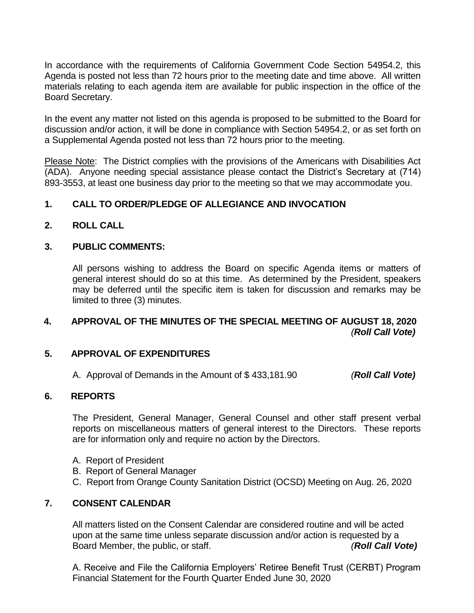In accordance with the requirements of California Government Code Section 54954.2, this Agenda is posted not less than 72 hours prior to the meeting date and time above. All written materials relating to each agenda item are available for public inspection in the office of the Board Secretary.

In the event any matter not listed on this agenda is proposed to be submitted to the Board for discussion and/or action, it will be done in compliance with Section 54954.2, or as set forth on a Supplemental Agenda posted not less than 72 hours prior to the meeting.

Please Note: The District complies with the provisions of the Americans with Disabilities Act (ADA). Anyone needing special assistance please contact the District's Secretary at (714) 893-3553, at least one business day prior to the meeting so that we may accommodate you.

# **1. CALL TO ORDER/PLEDGE OF ALLEGIANCE AND INVOCATION**

### **2. ROLL CALL**

### **3. PUBLIC COMMENTS:**

All persons wishing to address the Board on specific Agenda items or matters of general interest should do so at this time. As determined by the President, speakers may be deferred until the specific item is taken for discussion and remarks may be limited to three (3) minutes.

# **4. APPROVAL OF THE MINUTES OF THE SPECIAL MEETING OF AUGUST 18, 2020** *(Roll Call Vote)*

### **5. APPROVAL OF EXPENDITURES**

A. Approval of Demands in the Amount of \$ 433,181.90 *(Roll Call Vote)*

# **6. REPORTS**

The President, General Manager, General Counsel and other staff present verbal reports on miscellaneous matters of general interest to the Directors. These reports are for information only and require no action by the Directors.

- A. Report of President
- B. Report of General Manager
- C. Report from Orange County Sanitation District (OCSD) Meeting on Aug. 26, 2020

# **7. CONSENT CALENDAR**

All matters listed on the Consent Calendar are considered routine and will be acted upon at the same time unless separate discussion and/or action is requested by a Board Member, the public, or staff. *(Roll Call Vote)*

A. Receive and File the California Employers' Retiree Benefit Trust (CERBT) Program Financial Statement for the Fourth Quarter Ended June 30, 2020